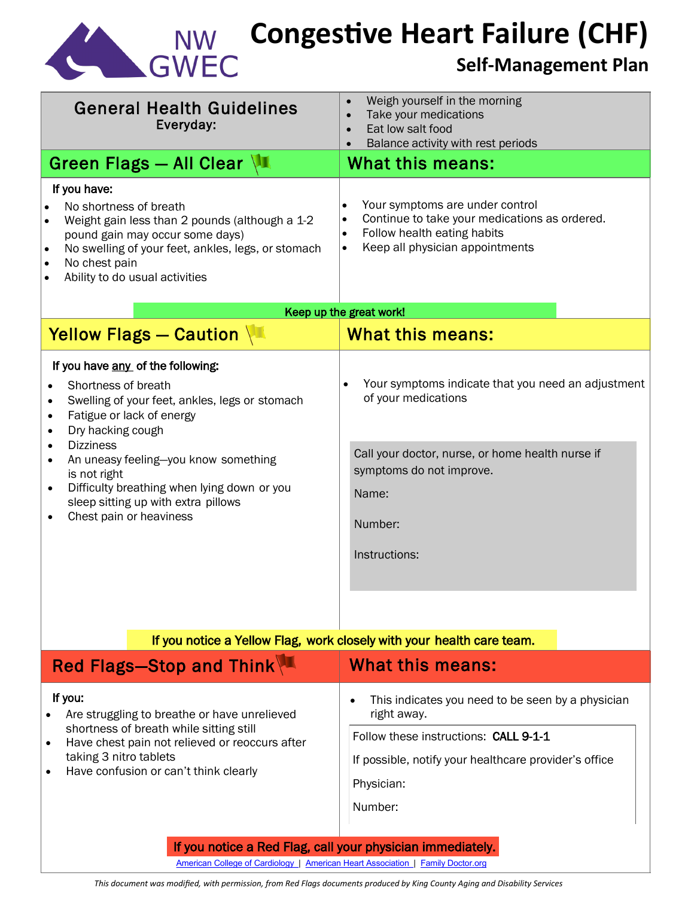

# **Congestive Heart Failure (CHF)**

## **Self-Management Plan**

| <b>General Health Guidelines</b><br>Everyday:<br>Green Flags - All Clear $\sqrt{1}$<br>If you have:                                                                                                                                                                                                                                                                                                   | Weigh yourself in the morning<br>Take your medications<br>Eat low salt food<br>$\bullet$<br>Balance activity with rest periods<br>What this means:                                             |
|-------------------------------------------------------------------------------------------------------------------------------------------------------------------------------------------------------------------------------------------------------------------------------------------------------------------------------------------------------------------------------------------------------|------------------------------------------------------------------------------------------------------------------------------------------------------------------------------------------------|
| No shortness of breath<br>$\bullet$<br>Weight gain less than 2 pounds (although a 1-2<br>$\bullet$<br>pound gain may occur some days)<br>No swelling of your feet, ankles, legs, or stomach<br>$\bullet$<br>No chest pain<br>$\bullet$<br>Ability to do usual activities                                                                                                                              | Your symptoms are under control<br>Continue to take your medications as ordered.<br>$\bullet$<br>Follow health eating habits<br>Keep all physician appointments<br>$\bullet$                   |
| Yellow Flags - Caution                                                                                                                                                                                                                                                                                                                                                                                | Keep up the great work!<br><b>What this means:</b>                                                                                                                                             |
| If you have any of the following:<br>Shortness of breath<br>Swelling of your feet, ankles, legs or stomach<br>٠<br>Fatigue or lack of energy<br>$\bullet$<br>Dry hacking cough<br>$\bullet$<br><b>Dizziness</b><br>An uneasy feeling-you know something<br>is not right<br>Difficulty breathing when lying down or you<br>$\bullet$<br>sleep sitting up with extra pillows<br>Chest pain or heaviness | Your symptoms indicate that you need an adjustment<br>of your medications<br>Call your doctor, nurse, or home health nurse if<br>symptoms do not improve.<br>Name:<br>Number:<br>Instructions: |
| If you notice a Yellow Flag, work closely with your health care team.<br>Red Flags-Stop and Think<br>What this means:                                                                                                                                                                                                                                                                                 |                                                                                                                                                                                                |
| If you:<br>Are struggling to breathe or have unrelieved<br>shortness of breath while sitting still<br>$\frac{1}{2}$                                                                                                                                                                                                                                                                                   | This indicates you need to be seen by a physician<br>right away.<br>Follow these instructions: CALL 9-1-1                                                                                      |

 $\bullet$  Have chest pain not relieved or reoccurs after taking 3 nitro tablets

• Have confusion or can't think clearly

If possible, notify your healthcare provider's office

Physician:

Number:

#### If you notice a Red Flag, call your physician immediately.

American College of [Cardiology](http://www.acc.org/) | American [Heart Association](http://www.americanheart.org/) | Family [Doctor.org](file://///HSD1/VOL1/DATA/GROUP/ADS_Everyone/Care%20Transitions/3026%20Application/Protocols%20and%20Patient%20Handouts/Flags_Irene%27s%20Originals/HMC%20and%20ADS%20approved_071112/familydoctor.org)

*This document was modified, with permission, from Red Flags documents produced by King County Aging and Disability Services*